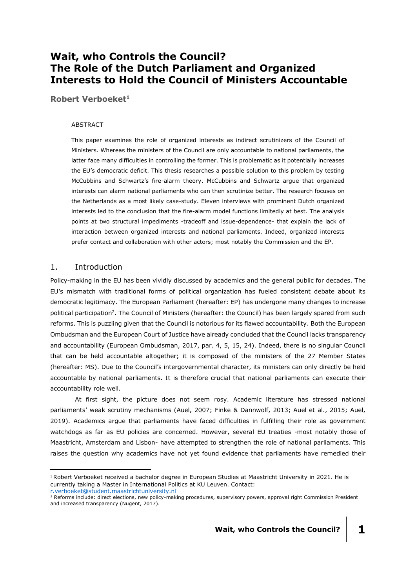# **Wait, who Controls the Council? The Role of the Dutch Parliament and Organized Interests to Hold the Council of Ministers Accountable**

**Robert Verboeket<sup>1</sup>**

#### ABSTRACT

This paper examines the role of organized interests as indirect scrutinizers of the Council of Ministers. Whereas the ministers of the Council are only accountable to national parliaments, the latter face many difficulties in controlling the former. This is problematic as it potentially increases the EU's democratic deficit. This thesis researches a possible solution to this problem by testing McCubbins and Schwartz's fire-alarm theory. McCubbins and Schwartz argue that organized interests can alarm national parliaments who can then scrutinize better. The research focuses on the Netherlands as a most likely case-study. Eleven interviews with prominent Dutch organized interests led to the conclusion that the fire-alarm model functions limitedly at best. The analysis points at two structural impediments -tradeoff and issue-dependence- that explain the lack of interaction between organized interests and national parliaments. Indeed, organized interests prefer contact and collaboration with other actors; most notably the Commission and the EP.

# 1. Introduction

Policy-making in the EU has been vividly discussed by academics and the general public for decades. The EU's mismatch with traditional forms of political organization has fueled consistent debate about its democratic legitimacy. The European Parliament (hereafter: EP) has undergone many changes to increase political participation<sup>2</sup>. The Council of Ministers (hereafter: the Council) has been largely spared from such reforms. This is puzzling given that the Council is notorious for its flawed accountability. Both the European Ombudsman and the European Court of Justice have already concluded that the Council lacks transparency and accountability (European Ombudsman, 2017, par. 4, 5, 15, 24). Indeed, there is no singular Council that can be held accountable altogether; it is composed of the ministers of the 27 Member States (hereafter: MS). Due to the Council's intergovernmental character, its ministers can only directly be held accountable by national parliaments. It is therefore crucial that national parliaments can execute their accountability role well.

At first sight, the picture does not seem rosy. Academic literature has stressed national parliaments' weak scrutiny mechanisms (Auel, 2007; Finke & Dannwolf, 2013; Auel et al., 2015; Auel, 2019). Academics argue that parliaments have faced difficulties in fulfilling their role as government watchdogs as far as EU policies are concerned. However, several EU treaties -most notably those of Maastricht, Amsterdam and Lisbon- have attempted to strengthen the role of national parliaments. This raises the question why academics have not yet found evidence that parliaments have remedied their

-

<sup>1</sup> Robert Verboeket received a bachelor degree in European Studies at Maastricht University in 2021. He is currently taking a Master in International Politics at KU Leuven. Contact:

[r.verboeket@student.maastrichtuniversity.nl](mailto:r.verboeket@student.maastrichtuniversity.nl)

<sup>&</sup>lt;sup>2</sup> Reforms include: direct elections, new policy-making procedures, supervisory powers, approval right Commission President and increased transparency (Nugent, 2017).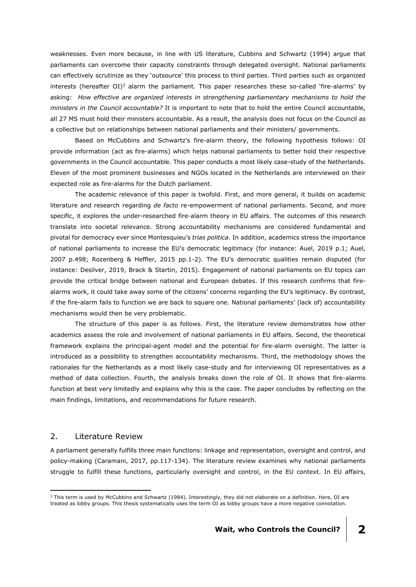weaknesses. Even more because, in line with US literature, Cubbins and Schwartz (1994) argue that parliaments can overcome their capacity constraints through delegated oversight. National parliaments can effectively scrutinize as they 'outsource' this process to third parties. Third parties such as organized interests (hereafter OI) $3$  alarm the parliament. This paper researches these so-called 'fire-alarms' by asking: *How effective are organized interests in strengthening parliamentary mechanisms to hold the ministers in the Council accountable?* It is important to note that to hold the entire Council accountable, all 27 MS must hold their ministers accountable. As a result, the analysis does not focus on the Council as a collective but on relationships between national parliaments and their ministers/ governments.

Based on McCubbins and Schwartz's fire-alarm theory, the following hypothesis follows: OI provide information (act as fire-alarms) which helps national parliaments to better hold their respective governments in the Council accountable. This paper conducts a most likely case-study of the Netherlands. Eleven of the most prominent businesses and NGOs located in the Netherlands are interviewed on their expected role as fire-alarms for the Dutch parliament.

The academic relevance of this paper is twofold. First, and more general, it builds on academic literature and research regarding *de facto* re-empowerment of national parliaments. Second, and more specific, it explores the under-researched fire-alarm theory in EU affairs. The outcomes of this research translate into societal relevance. Strong accountability mechanisms are considered fundamental and pivotal for democracy ever since Montesquieu's *trias politica*. In addition, academics stress the importance of national parliaments to increase the EU's democratic legitimacy (for instance: Auel, 2019 p.1; Auel, 2007 p.498; Rozenberg & Heffler, 2015 pp.1-2). The EU's democratic qualities remain disputed (for instance: Desilver, 2019, Brack & Startin, 2015). Engagement of national parliaments on EU topics can provide the critical bridge between national and European debates. If this research confirms that firealarms work, it could take away some of the citizens' concerns regarding the EU's legitimacy. By contrast, if the fire-alarm fails to function we are back to square one. National parliaments' (lack of) accountability mechanisms would then be very problematic.

The structure of this paper is as follows. First, the literature review demonstrates how other academics assess the role and involvement of national parliaments in EU affairs. Second, the theoretical framework explains the principal-agent model and the potential for fire-alarm oversight. The latter is introduced as a possibility to strengthen accountability mechanisms. Third, the methodology shows the rationales for the Netherlands as a most likely case-study and for interviewing OI representatives as a method of data collection. Fourth, the analysis breaks down the role of OI. It shows that fire-alarms function at best very limitedly and explains why this is the case. The paper concludes by reflecting on the main findings, limitations, and recommendations for future research.

### 2. Literature Review

-

A parliament generally fulfills three main functions: linkage and representation, oversight and control, and policy-making (Caramani, 2017, pp.117-134). The literature review examines why national parliaments struggle to fulfill these functions, particularly oversight and control, in the EU context. In EU affairs,

 $3$  This term is used by McCubbins and Schwartz (1984). Interestingly, they did not elaborate on a definition. Here, OI are treated as lobby groups. This thesis systematically uses the term OI as lobby groups have a more negative connotation.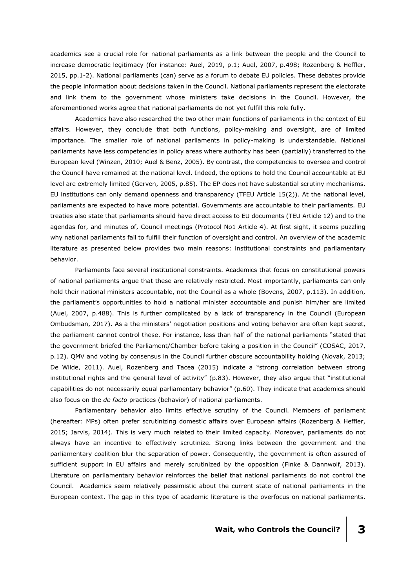academics see a crucial role for national parliaments as a link between the people and the Council to increase democratic legitimacy (for instance: Auel, 2019, p.1; Auel, 2007, p.498; Rozenberg & Heffler, 2015, pp.1-2). National parliaments (can) serve as a forum to debate EU policies. These debates provide the people information about decisions taken in the Council. National parliaments represent the electorate and link them to the government whose ministers take decisions in the Council. However, the aforementioned works agree that national parliaments do not yet fulfill this role fully.

Academics have also researched the two other main functions of parliaments in the context of EU affairs. However, they conclude that both functions, policy-making and oversight, are of limited importance. The smaller role of national parliaments in policy-making is understandable. National parliaments have less competencies in policy areas where authority has been (partially) transferred to the European level (Winzen, 2010; Auel & Benz, 2005). By contrast, the competencies to oversee and control the Council have remained at the national level. Indeed, the options to hold the Council accountable at EU level are extremely limited (Gerven, 2005, p.85). The EP does not have substantial scrutiny mechanisms. EU institutions can only demand openness and transparency (TFEU Article 15(2)). At the national level, parliaments are expected to have more potential. Governments are accountable to their parliaments. EU treaties also state that parliaments should have direct access to EU documents (TEU Article 12) and to the agendas for, and minutes of, Council meetings (Protocol No1 Article 4). At first sight, it seems puzzling why national parliaments fail to fulfill their function of oversight and control. An overview of the academic literature as presented below provides two main reasons: institutional constraints and parliamentary behavior.

Parliaments face several institutional constraints. Academics that focus on constitutional powers of national parliaments argue that these are relatively restricted. Most importantly, parliaments can only hold their national ministers accountable, not the Council as a whole (Bovens, 2007, p.113). In addition, the parliament's opportunities to hold a national minister accountable and punish him/her are limited (Auel, 2007, p.488). This is further complicated by a lack of transparency in the Council (European Ombudsman, 2017). As a the ministers' negotiation positions and voting behavior are often kept secret, the parliament cannot control these. For instance, less than half of the national parliaments "stated that the government briefed the Parliament/Chamber before taking a position in the Council" (COSAC, 2017, p.12). QMV and voting by consensus in the Council further obscure accountability holding (Novak, 2013; De Wilde, 2011). Auel, Rozenberg and Tacea (2015) indicate a "strong correlation between strong institutional rights and the general level of activity" (p.83). However, they also argue that "institutional capabilities do not necessarily equal parliamentary behavior" (p.60). They indicate that academics should also focus on the *de facto* practices (behavior) of national parliaments.

Parliamentary behavior also limits effective scrutiny of the Council. Members of parliament (hereafter: MPs) often prefer scrutinizing domestic affairs over European affairs (Rozenberg & Heffler, 2015; Jarvis, 2014). This is very much related to their limited capacity. Moreover, parliaments do not always have an incentive to effectively scrutinize. Strong links between the government and the parliamentary coalition blur the separation of power. Consequently, the government is often assured of sufficient support in EU affairs and merely scrutinized by the opposition (Finke & Dannwolf, 2013). Literature on parliamentary behavior reinforces the belief that national parliaments do not control the Council. Academics seem relatively pessimistic about the current state of national parliaments in the European context. The gap in this type of academic literature is the overfocus on national parliaments.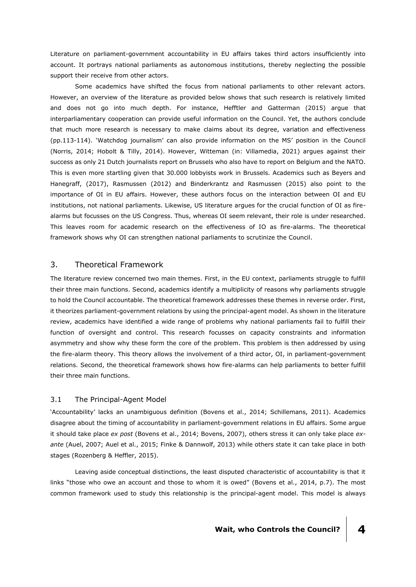Literature on parliament-government accountability in EU affairs takes third actors insufficiently into account. It portrays national parliaments as autonomous institutions, thereby neglecting the possible support their receive from other actors.

Some academics have shifted the focus from national parliaments to other relevant actors. However, an overview of the literature as provided below shows that such research is relatively limited and does not go into much depth. For instance, Hefftler and Gatterman (2015) argue that interparliamentary cooperation can provide useful information on the Council. Yet, the authors conclude that much more research is necessary to make claims about its degree, variation and effectiveness (pp.113-114). 'Watchdog journalism' can also provide information on the MS' position in the Council (Norris, 2014; Hobolt & Tilly, 2014). However, Witteman (in: Villamedia, 2021) argues against their success as only 21 Dutch journalists report on Brussels who also have to report on Belgium and the NATO. This is even more startling given that 30.000 lobbyists work in Brussels. Academics such as Beyers and Hanegraff, (2017), Rasmussen (2012) and Binderkrantz and Rasmussen (2015) also point to the importance of OI in EU affairs. However, these authors focus on the interaction between OI and EU institutions, not national parliaments. Likewise, US literature argues for the crucial function of OI as firealarms but focusses on the US Congress. Thus, whereas OI seem relevant, their role is under researched. This leaves room for academic research on the effectiveness of IO as fire-alarms. The theoretical framework shows why OI can strengthen national parliaments to scrutinize the Council.

# 3. Theoretical Framework

The literature review concerned two main themes. First, in the EU context, parliaments struggle to fulfill their three main functions. Second, academics identify a multiplicity of reasons why parliaments struggle to hold the Council accountable. The theoretical framework addresses these themes in reverse order. First, it theorizes parliament-government relations by using the principal-agent model. As shown in the literature review, academics have identified a wide range of problems why national parliaments fail to fulfill their function of oversight and control. This research focusses on capacity constraints and information asymmetry and show why these form the core of the problem. This problem is then addressed by using the fire-alarm theory. This theory allows the involvement of a third actor, OI, in parliament-government relations. Second, the theoretical framework shows how fire-alarms can help parliaments to better fulfill their three main functions.

### 3.1 The Principal-Agent Model

'Accountability' lacks an unambiguous definition (Bovens et al., 2014; Schillemans, 2011). Academics disagree about the timing of accountability in parliament-government relations in EU affairs. Some argue it should take place *ex post* (Bovens et al., 2014; Bovens, 2007), others stress it can only take place *exante* (Auel, 2007; Auel et al., 2015; Finke & Dannwolf, 2013) while others state it can take place in both stages (Rozenberg & Heffler, 2015).

Leaving aside conceptual distinctions, the least disputed characteristic of accountability is that it links "those who owe an account and those to whom it is owed" (Bovens et al., 2014, p.7). The most common framework used to study this relationship is the principal-agent model. This model is always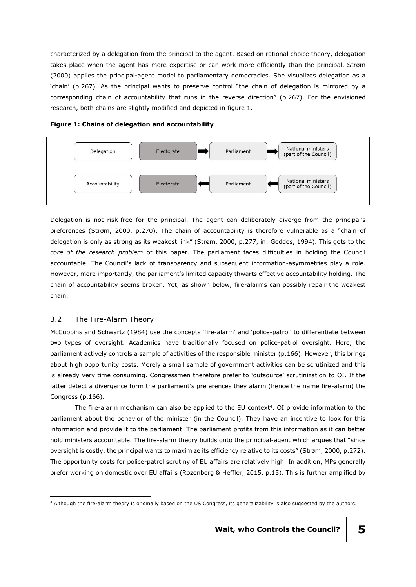characterized by a delegation from the principal to the agent. Based on rational choice theory, delegation takes place when the agent has more expertise or can work more efficiently than the principal. Strøm (2000) applies the principal-agent model to parliamentary democracies. She visualizes delegation as a 'chain' (p.267). As the principal wants to preserve control "the chain of delegation is mirrored by a corresponding chain of accountability that runs in the reverse direction" (p.267). For the envisioned research, both chains are slightly modified and depicted in figure 1.





Delegation is not risk-free for the principal. The agent can deliberately diverge from the principal's preferences (Strøm, 2000, p.270). The chain of accountability is therefore vulnerable as a "chain of delegation is only as strong as its weakest link" (Strøm, 2000, p.277, in: Geddes, 1994). This gets to the *core of the research problem* of this paper. The parliament faces difficulties in holding the Council accountable. The Council's lack of transparency and subsequent information-asymmetries play a role. However, more importantly, the parliament's limited capacity thwarts effective accountability holding. The chain of accountability seems broken. Yet, as shown below, fire-alarms can possibly repair the weakest chain.

# 3.2 The Fire-Alarm Theory

McCubbins and Schwartz (1984) use the concepts 'fire-alarm' and 'police-patrol' to differentiate between two types of oversight. Academics have traditionally focused on police-patrol oversight. Here, the parliament actively controls a sample of activities of the responsible minister (p.166). However, this brings about high opportunity costs. Merely a small sample of government activities can be scrutinized and this is already very time consuming. Congressmen therefore prefer to 'outsource' scrutinization to OI. If the latter detect a divergence form the parliament's preferences they alarm (hence the name fire-alarm) the Congress (p.166).

The fire-alarm mechanism can also be applied to the EU context<sup>4</sup>. OI provide information to the parliament about the behavior of the minister (in the Council). They have an incentive to look for this information and provide it to the parliament. The parliament profits from this information as it can better hold ministers accountable. The fire-alarm theory builds onto the principal-agent which argues that "since oversight is costly, the principal wants to maximize its efficiency relative to its costs" (Strøm, 2000, p.272). The opportunity costs for police-patrol scrutiny of EU affairs are relatively high. In addition, MPs generally prefer working on domestic over EU affairs (Rozenberg & Heffler, 2015, p.15). This is further amplified by

<sup>-</sup><sup>4</sup> Although the fire-alarm theory is originally based on the US Congress, its generalizability is also suggested by the authors.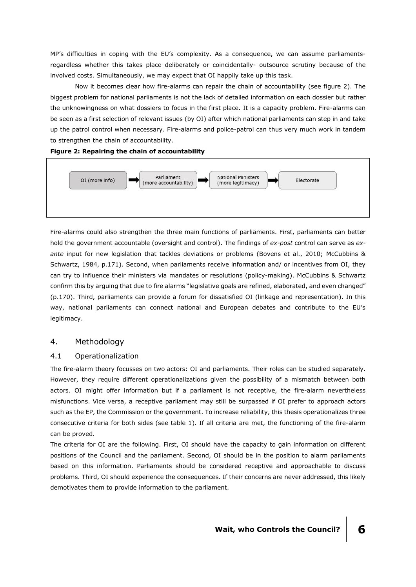MP's difficulties in coping with the EU's complexity. As a consequence, we can assume parliamentsregardless whether this takes place deliberately or coincidentally- outsource scrutiny because of the involved costs. Simultaneously, we may expect that OI happily take up this task.

Now it becomes clear how fire-alarms can repair the chain of accountability (see figure 2). The biggest problem for national parliaments is not the lack of detailed information on each dossier but rather the unknowingness on what dossiers to focus in the first place. It is a capacity problem. Fire-alarms can be seen as a first selection of relevant issues (by OI) after which national parliaments can step in and take up the patrol control when necessary. Fire-alarms and police-patrol can thus very much work in tandem to strengthen the chain of accountability.

### **Figure 2: Repairing the chain of accountability**



Fire-alarms could also strengthen the three main functions of parliaments. First, parliaments can better hold the government accountable (oversight and control). The findings of *ex-post* control can serve as *exante* input for new legislation that tackles deviations or problems (Bovens et al., 2010; McCubbins & Schwartz, 1984, p.171). Second, when parliaments receive information and/ or incentives from OI, they can try to influence their ministers via mandates or resolutions (policy-making). McCubbins & Schwartz confirm this by arguing that due to fire alarms "legislative goals are refined, elaborated, and even changed" (p.170). Third, parliaments can provide a forum for dissatisfied OI (linkage and representation). In this way, national parliaments can connect national and European debates and contribute to the EU's legitimacy.

# 4. Methodology

### 4.1 Operationalization

The fire-alarm theory focusses on two actors: OI and parliaments. Their roles can be studied separately. However, they require different operationalizations given the possibility of a mismatch between both actors. OI might offer information but if a parliament is not receptive, the fire-alarm nevertheless misfunctions. Vice versa, a receptive parliament may still be surpassed if OI prefer to approach actors such as the EP, the Commission or the government. To increase reliability, this thesis operationalizes three consecutive criteria for both sides (see table 1). If all criteria are met, the functioning of the fire-alarm can be proved.

The criteria for OI are the following. First, OI should have the capacity to gain information on different positions of the Council and the parliament. Second, OI should be in the position to alarm parliaments based on this information. Parliaments should be considered receptive and approachable to discuss problems. Third, OI should experience the consequences. If their concerns are never addressed, this likely demotivates them to provide information to the parliament.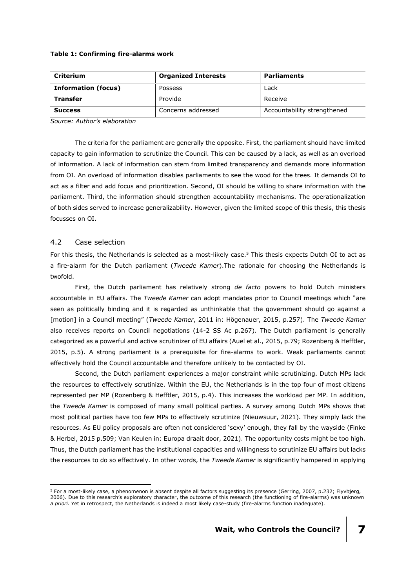#### **Table 1: Confirming fire-alarms work**

| <b>Criterium</b>           | <b>Organized Interests</b> | <b>Parliaments</b>          |  |
|----------------------------|----------------------------|-----------------------------|--|
| <b>Information (focus)</b> | Possess                    | Lack                        |  |
| <b>Transfer</b>            | Provide                    | Receive                     |  |
| <b>Success</b>             | Concerns addressed         | Accountability strengthened |  |

*Source: Author's elaboration*

The criteria for the parliament are generally the opposite. First, the parliament should have limited capacity to gain information to scrutinize the Council. This can be caused by a lack, as well as an overload of information. A lack of information can stem from limited transparency and demands more information from OI. An overload of information disables parliaments to see the wood for the trees. It demands OI to act as a filter and add focus and prioritization. Second, OI should be willing to share information with the parliament. Third, the information should strengthen accountability mechanisms. The operationalization of both sides served to increase generalizability. However, given the limited scope of this thesis, this thesis focusses on OI.

### 4.2 Case selection

-

For this thesis, the Netherlands is selected as a most-likely case. <sup>5</sup> This thesis expects Dutch OI to act as a fire-alarm for the Dutch parliament (*Tweede Kamer*).The rationale for choosing the Netherlands is twofold.

First, the Dutch parliament has relatively strong *de facto* powers to hold Dutch ministers accountable in EU affairs. The *Tweede Kamer* can adopt mandates prior to Council meetings which "are seen as politically binding and it is regarded as unthinkable that the government should go against a [motion] in a Council meeting" (*Tweede Kamer*, 2011 in: Högenauer, 2015, p.257). The *Tweede Kamer* also receives reports on Council negotiations (14-2 SS Ac p.267). The Dutch parliament is generally categorized as a powerful and active scrutinizer of EU affairs (Auel et al., 2015, p.79; Rozenberg & Hefftler, 2015, p.5). A strong parliament is a prerequisite for fire-alarms to work. Weak parliaments cannot effectively hold the Council accountable and therefore unlikely to be contacted by OI.

Second, the Dutch parliament experiences a major constraint while scrutinizing. Dutch MPs lack the resources to effectively scrutinize. Within the EU, the Netherlands is in the top four of most citizens represented per MP (Rozenberg & Hefftler, 2015, p.4). This increases the workload per MP. In addition, the *Tweede Kamer* is composed of many small political parties. A survey among Dutch MPs shows that most political parties have too few MPs to effectively scrutinize (Nieuwsuur, 2021). They simply lack the resources. As EU policy proposals are often not considered 'sexy' enough, they fall by the wayside (Finke & Herbel, 2015 p.509; Van Keulen in: Europa draait door, 2021). The opportunity costs might be too high. Thus, the Dutch parliament has the institutional capacities and willingness to scrutinize EU affairs but lacks the resources to do so effectively. In other words, the *Tweede Kamer* is significantly hampered in applying

<sup>&</sup>lt;sup>5</sup> For a most-likely case, a phenomenon is absent despite all factors suggesting its presence (Gerring, 2007, p.232; Flyvbjerg, 2006). Due to this research's exploratory character, the outcome of this research (the functioning of fire-alarms) was unknown *a priori.* Yet in retrospect, the Netherlands is indeed a most likely case-study (fire-alarms function inadequate).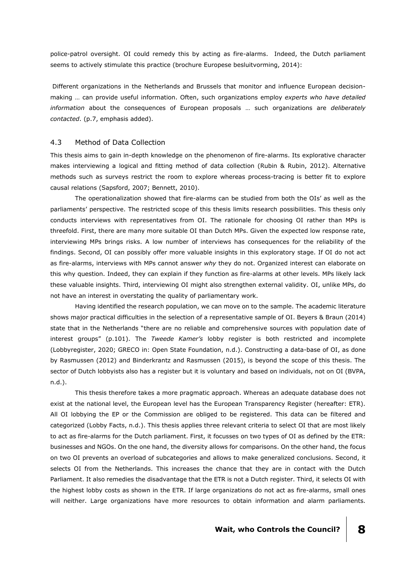police-patrol oversight. OI could remedy this by acting as fire-alarms. Indeed, the Dutch parliament seems to actively stimulate this practice (brochure Europese besluitvorming, 2014):

Different organizations in the Netherlands and Brussels that monitor and influence European decisionmaking … can provide useful information. Often, such organizations employ *experts who have detailed information* about the consequences of European proposals … such organizations are *deliberately contacted*. (p.7, emphasis added).

### 4.3 Method of Data Collection

This thesis aims to gain in-depth knowledge on the phenomenon of fire-alarms. Its explorative character makes interviewing a logical and fitting method of data collection (Rubin & Rubin, 2012). Alternative methods such as surveys restrict the room to explore whereas process-tracing is better fit to explore causal relations (Sapsford, 2007; Bennett, 2010).

The operationalization showed that fire-alarms can be studied from both the OIs' as well as the parliaments' perspective. The restricted scope of this thesis limits research possibilities. This thesis only conducts interviews with representatives from OI. The rationale for choosing OI rather than MPs is threefold. First, there are many more suitable OI than Dutch MPs. Given the expected low response rate, interviewing MPs brings risks. A low number of interviews has consequences for the reliability of the findings. Second, OI can possibly offer more valuable insights in this exploratory stage. If OI do not act as fire-alarms, interviews with MPs cannot answer *why* they do not. Organized interest can elaborate on this why question. Indeed, they can explain if they function as fire-alarms at other levels. MPs likely lack these valuable insights. Third, interviewing OI might also strengthen external validity. OI, unlike MPs, do not have an interest in overstating the quality of parliamentary work.

Having identified the research population, we can move on to the sample. The academic literature shows major practical difficulties in the selection of a representative sample of OI. Beyers & Braun (2014) state that in the Netherlands "there are no reliable and comprehensive sources with population date of interest groups" (p.101). The *Tweede Kamer's* lobby register is both restricted and incomplete (Lobbyregister, 2020; GRECO in: Open State Foundation, n.d.). Constructing a data-base of OI, as done by Rasmussen (2012) and Binderkrantz and Rasmussen (2015), is beyond the scope of this thesis. The sector of Dutch lobbyists also has a register but it is voluntary and based on individuals, not on OI (BVPA, n.d.).

This thesis therefore takes a more pragmatic approach. Whereas an adequate database does not exist at the national level, the European level has the European Transparency Register (hereafter: ETR). All OI lobbying the EP or the Commission are obliged to be registered. This data can be filtered and categorized (Lobby Facts, n.d.). This thesis applies three relevant criteria to select OI that are most likely to act as fire-alarms for the Dutch parliament. First, it focusses on two types of OI as defined by the ETR: businesses and NGOs. On the one hand, the diversity allows for comparisons. On the other hand, the focus on two OI prevents an overload of subcategories and allows to make generalized conclusions. Second, it selects OI from the Netherlands. This increases the chance that they are in contact with the Dutch Parliament. It also remedies the disadvantage that the ETR is not a Dutch register. Third, it selects OI with the highest lobby costs as shown in the ETR. If large organizations do not act as fire-alarms, small ones will neither. Large organizations have more resources to obtain information and alarm parliaments.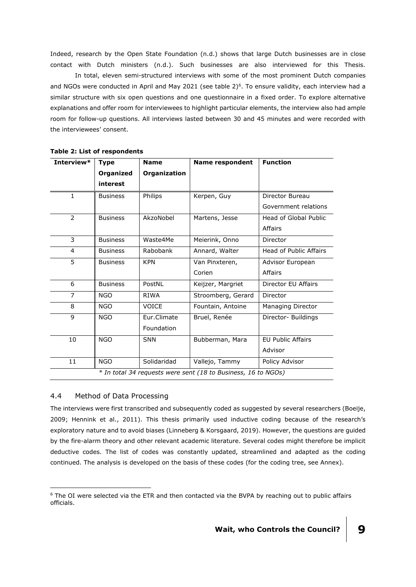Indeed, research by the Open State Foundation (n.d.) shows that large Dutch businesses are in close contact with Dutch ministers (n.d.). Such businesses are also interviewed for this Thesis.

In total, eleven semi-structured interviews with some of the most prominent Dutch companies and NGOs were conducted in April and May 2021 (see table 2)<sup>6</sup>. To ensure validity, each interview had a similar structure with six open questions and one questionnaire in a fixed order. To explore alternative explanations and offer room for interviewees to highlight particular elements, the interview also had ample room for follow-up questions. All interviews lasted between 30 and 45 minutes and were recorded with the interviewees' consent.

| Interview*                                                    | <b>Type</b>      | <b>Name</b>  | <b>Name respondent</b> | <b>Function</b>               |  |
|---------------------------------------------------------------|------------------|--------------|------------------------|-------------------------------|--|
|                                                               | <b>Organized</b> | Organization |                        |                               |  |
|                                                               | interest         |              |                        |                               |  |
| $\mathbf{1}$                                                  | <b>Business</b>  | Philips      | Kerpen, Guy            | Director Bureau               |  |
|                                                               |                  |              |                        | Government relations          |  |
| $\overline{2}$                                                | <b>Business</b>  | AkzoNobel    | Martens, Jesse         | <b>Head of Global Public</b>  |  |
|                                                               |                  |              |                        | Affairs                       |  |
| 3                                                             | <b>Business</b>  | Waste4Me     | Meierink, Onno         | Director                      |  |
| $\overline{4}$                                                | <b>Business</b>  | Rabobank     | Annard, Walter         | <b>Head of Public Affairs</b> |  |
| 5                                                             | <b>Business</b>  | <b>KPN</b>   | Van Pinxteren,         | Advisor European              |  |
|                                                               |                  |              | Corien                 | Affairs                       |  |
| 6                                                             | <b>Business</b>  | PostNL       | Keijzer, Margriet      | Director EU Affairs           |  |
| $\overline{7}$                                                | <b>NGO</b>       | <b>RIWA</b>  | Stroomberg, Gerard     | Director                      |  |
| 8                                                             | <b>NGO</b>       | <b>VOICE</b> | Fountain, Antoine      | Managing Director             |  |
| 9                                                             | <b>NGO</b>       | Eur.Climate  | Bruel, Renée           | Director- Buildings           |  |
|                                                               |                  | Foundation   |                        |                               |  |
| 10                                                            | <b>NGO</b>       | <b>SNN</b>   | Bubberman, Mara        | <b>EU Public Affairs</b>      |  |
|                                                               |                  |              |                        | Advisor                       |  |
| 11                                                            | <b>NGO</b>       | Solidaridad  | Vallejo, Tammy         | Policy Advisor                |  |
| * In total 34 requests were sent (18 to Business, 16 to NGOs) |                  |              |                        |                               |  |

**Table 2: List of respondents**

### 4.4 Method of Data Processing

-

The interviews were first transcribed and subsequently coded as suggested by several researchers (Boeije, 2009; Hennink et al., 2011). This thesis primarily used inductive coding because of the research's exploratory nature and to avoid biases (Linneberg & Korsgaard, 2019). However, the questions are guided by the fire-alarm theory and other relevant academic literature. Several codes might therefore be implicit deductive codes. The list of codes was constantly updated, streamlined and adapted as the coding continued. The analysis is developed on the basis of these codes (for the coding tree, see Annex).

<sup>&</sup>lt;sup>6</sup> The OI were selected via the ETR and then contacted via the BVPA by reaching out to public affairs officials.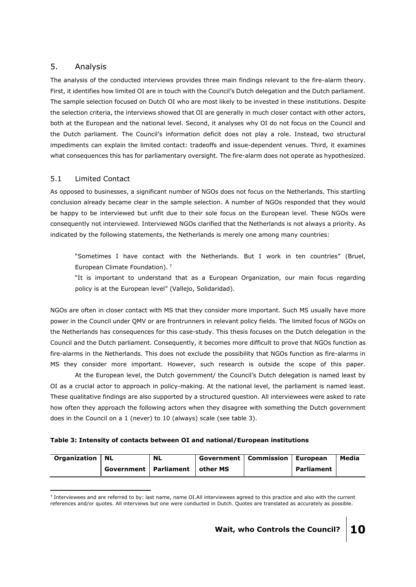# 5. Analysis

The analysis of the conducted interviews provides three main findings relevant to the fire-alarm theory. First, it identifies how limited OI are in touch with the Council's Dutch delegation and the Dutch parliament. The sample selection focused on Dutch OI who are most likely to be invested in these institutions. Despite the selection criteria, the interviews showed that OI are generally in much closer contact with other actors, both at the European and the national level. Second, it analyses why OI do not focus on the Council and the Dutch parliament. The Council's information deficit does not play a role. Instead, two structural impediments can explain the limited contact: tradeoffs and issue-dependent venues. Third, it examines what consequences this has for parliamentary oversight. The fire-alarm does not operate as hypothesized.

# 5.1 Limited Contact

As opposed to businesses, a significant number of NGOs does not focus on the Netherlands. This startling conclusion already became clear in the sample selection. A number of NGOs responded that they would be happy to be interviewed but unfit due to their sole focus on the European level. These NGOs were consequently not interviewed. Interviewed NGOs clarified that the Netherlands is not always a priority. As indicated by the following statements, the Netherlands is merely one among many countries:

"Sometimes I have contact with the Netherlands. But I work in ten countries" (Bruel, European Climate Foundation). <sup>7</sup>

"It is important to understand that as a European Organization, our main focus regarding policy is at the European level" (Vallejo, Solidaridad).

NGOs are often in closer contact with MS that they consider more important. Such MS usually have more power in the Council under QMV or are frontrunners in relevant policy fields. The limited focus of NGOs on the Netherlands has consequences for this case-study. This thesis focuses on the Dutch delegation in the Council and the Dutch parliament. Consequently, it becomes more difficult to prove that NGOs function as fire-alarms in the Netherlands. This does not exclude the possibility that NGOs function as fire-alarms in MS they consider more important. However, such research is outside the scope of this paper.

At the European level, the Dutch government/ the Council's Dutch delegation is named least by OI as a crucial actor to approach in policy-making. At the national level, the parliament is named least. These qualitative findings are also supported by a structured question. All interviewees were asked to rate how often they approach the following actors when they disagree with something the Dutch government does in the Council on a 1 (never) to 10 (always) scale (see table 3).

# **Table 3: Intensity of contacts between OI and national/European institutions**

| <b>Organization   NL</b> |                                    | <b>NL</b> | <b>Government   Commission   European</b> |            | Media |
|--------------------------|------------------------------------|-----------|-------------------------------------------|------------|-------|
|                          | Government   Parliament   other MS |           |                                           | Parliament |       |

<sup>-</sup> $<sup>7</sup>$  Interviewees and are referred to by: last name, name OI.All interviewees agreed to this practice and also with the current</sup> references and/or quotes. All interviews but one were conducted in Dutch. Quotes are translated as accurately as possible.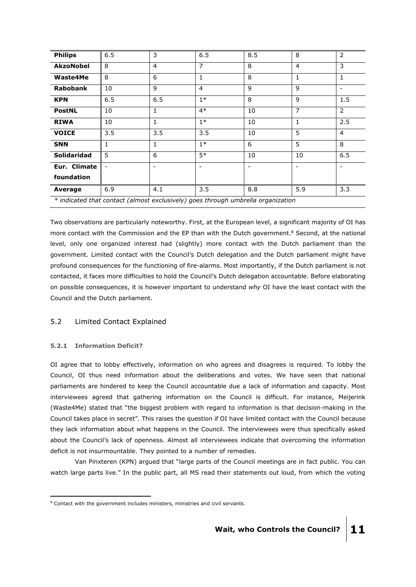| <b>Philips</b>                                                                   | 6.5            | 3              | 6.5                      | 8.5                      | 8                        | $\overline{2}$ |
|----------------------------------------------------------------------------------|----------------|----------------|--------------------------|--------------------------|--------------------------|----------------|
| <b>AkzoNobel</b>                                                                 | 8              | $\overline{4}$ | $\overline{7}$           | 8                        | 4                        | 3              |
| Waste4Me                                                                         | 8              | 6              | $\mathbf{1}$             | 8                        | 1                        | 1              |
| <b>Rabobank</b>                                                                  | 10             | 9              | 4                        | $\mathbf{q}$             | 9                        |                |
| <b>KPN</b>                                                                       | 6.5            | 6.5            | $1*$                     | 8                        | 9                        | 1.5            |
| <b>PostNL</b>                                                                    | 10             | 1              | $4*$                     | 10                       | $\overline{7}$           | $\overline{2}$ |
| <b>RIWA</b>                                                                      | 10             | 1              | $1*$                     | 10                       | $\mathbf{1}$             | 2.5            |
| <b>VOICE</b>                                                                     | 3.5            | 3.5            | 3.5                      | 10                       | 5                        | $\overline{4}$ |
| <b>SNN</b>                                                                       | 1              | 1              | $1*$                     | 6                        | 5                        | 8              |
| <b>Solidaridad</b>                                                               | 5              | 6              | $5*$                     | 10                       | 10                       | 6.5            |
| Eur. Climate                                                                     | $\blacksquare$ |                | $\overline{\phantom{0}}$ | $\overline{\phantom{0}}$ | $\overline{\phantom{a}}$ |                |
| foundation                                                                       |                |                |                          |                          |                          |                |
| Average                                                                          | 6.9            | 4.1            | $\overline{3.5}$         | 8.8                      | 5.9                      | 3.3            |
| * indicated that contact (almost exclusively) goes through umbrella organization |                |                |                          |                          |                          |                |

Two observations are particularly noteworthy. First, at the European level, a significant majority of OI has more contact with the Commission and the EP than with the Dutch government.<sup>8</sup> Second, at the national level, only one organized interest had (slightly) more contact with the Dutch parliament than the government. Limited contact with the Council's Dutch delegation and the Dutch parliament might have profound consequences for the functioning of fire-alarms. Most importantly, if the Dutch parliament is not contacted, it faces more difficulties to hold the Council's Dutch delegation accountable. Before elaborating on possible consequences, it is however important to understand *why* OI have the least contact with the Council and the Dutch parliament.

# 5.2 Limited Contact Explained

# **5.2.1 Information Deficit?**

-

OI agree that to lobby effectively, information on who agrees and disagrees is required. To lobby the Council, OI thus need information about the deliberations and votes. We have seen that national parliaments are hindered to keep the Council accountable due a lack of information and capacity. Most interviewees agreed that gathering information on the Council is difficult. For instance, Meijerink (Waste4Me) stated that "the biggest problem with regard to information is that decision-making in the Council takes place in secret". This raises the question if OI have limited contact with the Council because they lack information about what happens in the Council. The interviewees were thus specifically asked about the Council's lack of openness. Almost all interviewees indicate that overcoming the information deficit is not insurmountable. They pointed to a number of remedies.

Van Pinxteren (KPN) argued that "large parts of the Council meetings are in fact public. You can watch large parts live." In the public part, all MS read their statements out loud, from which the voting

<sup>8</sup> Contact with the government includes ministers, ministries and civil servants.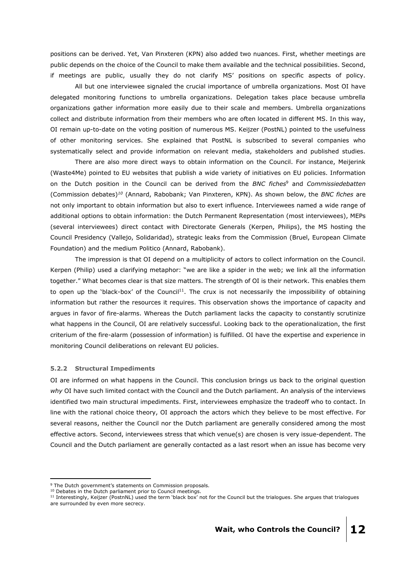positions can be derived. Yet, Van Pinxteren (KPN) also added two nuances. First, whether meetings are public depends on the choice of the Council to make them available and the technical possibilities. Second, if meetings are public, usually they do not clarify MS' positions on specific aspects of policy.

All but one interviewee signaled the crucial importance of umbrella organizations. Most OI have delegated monitoring functions to umbrella organizations. Delegation takes place because umbrella organizations gather information more easily due to their scale and members. Umbrella organizations collect and distribute information from their members who are often located in different MS. In this way, OI remain up-to-date on the voting position of numerous MS. Keijzer (PostNL) pointed to the usefulness of other monitoring services. She explained that PostNL is subscribed to several companies who systematically select and provide information on relevant media, stakeholders and published studies.

There are also more direct ways to obtain information on the Council. For instance, Meijerink (Waste4Me) pointed to EU websites that publish a wide variety of initiatives on EU policies. Information on the Dutch position in the Council can be derived from the *BNC fiches*<sup>9</sup> and *Commissiedebatten*  (Commission debates)*<sup>10</sup>* (Annard, Rabobank; Van Pinxteren, KPN). As shown below, the *BNC fiches* are not only important to obtain information but also to exert influence. Interviewees named a wide range of additional options to obtain information: the Dutch Permanent Representation (most interviewees), MEPs (several interviewees) direct contact with Directorate Generals (Kerpen, Philips), the MS hosting the Council Presidency (Vallejo, Solidaridad), strategic leaks from the Commission (Bruel, European Climate Foundation) and the medium Politico (Annard, Rabobank).

The impression is that OI depend on a multiplicity of actors to collect information on the Council. Kerpen (Philip) used a clarifying metaphor: "we are like a spider in the web; we link all the information together." What becomes clear is that size matters. The strength of OI is their network. This enables them to open up the 'black-box' of the Council<sup>11</sup>. The crux is not necessarily the impossibility of obtaining information but rather the resources it requires. This observation shows the importance of capacity and argues in favor of fire-alarms. Whereas the Dutch parliament lacks the capacity to constantly scrutinize what happens in the Council, OI are relatively successful. Looking back to the operationalization, the first criterium of the fire-alarm (possession of information) is fulfilled. OI have the expertise and experience in monitoring Council deliberations on relevant EU policies.

### **5.2.2 Structural Impediments**

-

OI are informed on what happens in the Council. This conclusion brings us back to the original question *why* OI have such limited contact with the Council and the Dutch parliament. An analysis of the interviews identified two main structural impediments. First, interviewees emphasize the tradeoff who to contact. In line with the rational choice theory, OI approach the actors which they believe to be most effective. For several reasons, neither the Council nor the Dutch parliament are generally considered among the most effective actors. Second, interviewees stress that which venue(s) are chosen is very issue-dependent. The Council and the Dutch parliament are generally contacted as a last resort when an issue has become very

<sup>&</sup>lt;sup>9</sup> The Dutch government's statements on Commission proposals.

<sup>&</sup>lt;sup>10</sup> Debates in the Dutch parliament prior to Council meetings.

 $11$  Interestingly, Keijzer (PostnNL) used the term 'black box' not for the Council but the trialogues. She argues that trialogues are surrounded by even more secrecy.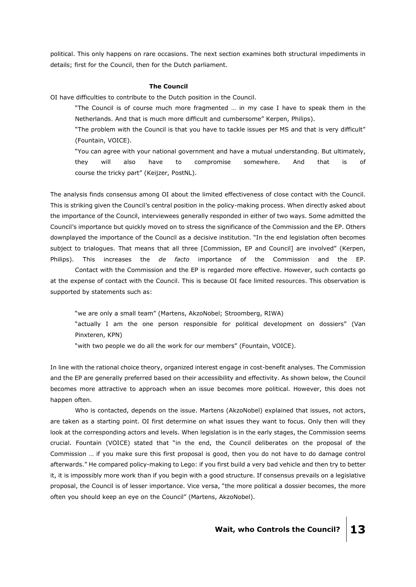political. This only happens on rare occasions. The next section examines both structural impediments in details; first for the Council, then for the Dutch parliament.

#### **The Council**

OI have difficulties to contribute to the Dutch position in the Council.

"The Council is of course much more fragmented … in my case I have to speak them in the Netherlands. And that is much more difficult and cumbersome" Kerpen, Philips).

"The problem with the Council is that you have to tackle issues per MS and that is very difficult" (Fountain, VOICE).

"You can agree with your national government and have a mutual understanding. But ultimately, they will also have to compromise somewhere. And that is of course the tricky part" (Keijzer, PostNL).

The analysis finds consensus among OI about the limited effectiveness of close contact with the Council. This is striking given the Council's central position in the policy-making process. When directly asked about the importance of the Council, interviewees generally responded in either of two ways. Some admitted the Council's importance but quickly moved on to stress the significance of the Commission and the EP. Others downplayed the importance of the Council as a decisive institution. "In the end legislation often becomes subject to trialogues. That means that all three [Commission, EP and Council] are involved" (Kerpen, Philips). This increases the *de facto* importance of the Commission and the EP.

Contact with the Commission and the EP is regarded more effective. However, such contacts go at the expense of contact with the Council. This is because OI face limited resources. This observation is supported by statements such as:

"we are only a small team" (Martens, AkzoNobel; Stroomberg, RIWA)

"actually I am the one person responsible for political development on dossiers" (Van Pinxteren, KPN)

"with two people we do all the work for our members" (Fountain, VOICE).

In line with the rational choice theory, organized interest engage in cost-benefit analyses. The Commission and the EP are generally preferred based on their accessibility and effectivity. As shown below, the Council becomes more attractive to approach when an issue becomes more political. However, this does not happen often.

Who is contacted, depends on the issue. Martens (AkzoNobel) explained that issues, not actors, are taken as a starting point. OI first determine on what issues they want to focus. Only then will they look at the corresponding actors and levels. When legislation is in the early stages, the Commission seems crucial. Fountain (VOICE) stated that "in the end, the Council deliberates on the proposal of the Commission … if you make sure this first proposal is good, then you do not have to do damage control afterwards." He compared policy-making to Lego: if you first build a very bad vehicle and then try to better it, it is impossibly more work than if you begin with a good structure. If consensus prevails on a legislative proposal, the Council is of lesser importance. Vice versa, "the more political a dossier becomes, the more often you should keep an eye on the Council" (Martens, AkzoNobel).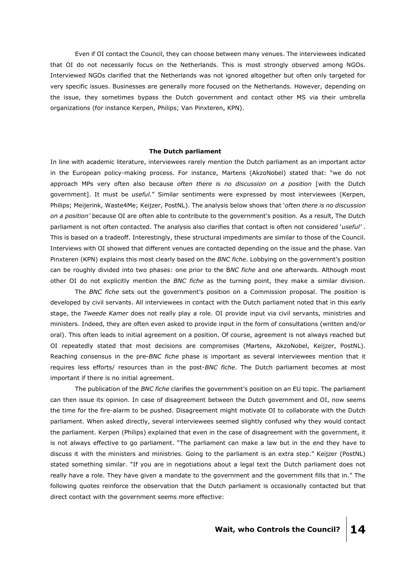Even if OI contact the Council, they can choose between many venues. The interviewees indicated that OI do not necessarily focus on the Netherlands. This is most strongly observed among NGOs. Interviewed NGOs clarified that the Netherlands was not ignored altogether but often only targeted for very specific issues. Businesses are generally more focused on the Netherlands. However, depending on the issue, they sometimes bypass the Dutch government and contact other MS via their umbrella organizations (for instance Kerpen, Philips; Van Pinxteren, KPN).

#### **The Dutch parliament**

In line with academic literature, interviewees rarely mention the Dutch parliament as an important actor in the European policy-making process. For instance, Martens (AkzoNobel) stated that: "we do not approach MPs very often also because *often there is no discussion on a position* [with the Dutch government]. It must be *useful*." Similar sentiments were expressed by most interviewees (Kerpen, Philips; Meijerink, Waste4Me; Keijzer, PostNL). The analysis below shows that '*often there is no discussion on a position'* because OI are often able to contribute to the government's position. As a result, The Dutch parliament is not often contacted. The analysis also clarifies that contact is often not considered '*useful'* . This is based on a tradeoff. Interestingly, these structural impediments are similar to those of the Council. Interviews with OI showed that different venues are contacted depending on the issue and the phase. Van Pinxteren (KPN) explains this most clearly based on the *BNC fiche*. Lobbying on the government's position can be roughly divided into two phases: one prior to the B*NC fiche* and one afterwards. Although most other OI do not explicitly mention the *BNC fiche* as the turning point, they make a similar division.

The *BNC fiche* sets out the government's position on a Commission proposal. The position is developed by civil servants. All interviewees in contact with the Dutch parliament noted that in this early stage, the *Tweede Kamer* does not really play a role. OI provide input via civil servants, ministries and ministers. Indeed, they are often even asked to provide input in the form of consultations (written and/or oral). This often leads to initial agreement on a position. Of course, agreement is not always reached but OI repeatedly stated that most decisions are compromises (Martens, AkzoNobel, Keijzer, PostNL). Reaching consensus in the pre-*BNC fiche* phase is important as several interviewees mention that it requires less efforts/ resources than in the post-*BNC fiche*. The Dutch parliament becomes at most important if there is no initial agreement.

The publication of the *BNC fiche* clarifies the government's position on an EU topic. The parliament can then issue its opinion. In case of disagreement between the Dutch government and OI, now seems the time for the fire-alarm to be pushed. Disagreement might motivate OI to collaborate with the Dutch parliament. When asked directly, several interviewees seemed slightly confused why they would contact the parliament. Kerpen (Philips) explained that even in the case of disagreement with the government, it is not always effective to go parliament. "The parliament can make a law but in the end they have to discuss it with the ministers and ministries. Going to the parliament is an extra step." Keijzer (PostNL) stated something similar. "If you are in negotiations about a legal text the Dutch parliament does not really have a role. They have given a mandate to the government and the government fills that in." The following quotes reinforce the observation that the Dutch parliament is occasionally contacted but that direct contact with the government seems more effective: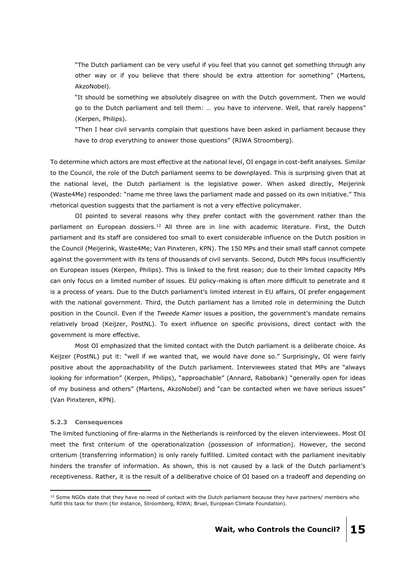"The Dutch parliament can be very useful if you feel that you cannot get something through any other way or if you believe that there should be extra attention for something" (Martens, AkzoNobel).

"It should be something we absolutely disagree on with the Dutch government. Then we would go to the Dutch parliament and tell them: … you have to intervene. Well, that rarely happens" (Kerpen, Philips).

"Then I hear civil servants complain that questions have been asked in parliament because they have to drop everything to answer those questions" (RIWA Stroomberg).

To determine which actors are most effective at the national level, OI engage in cost-befit analyses. Similar to the Council, the role of the Dutch parliament seems to be downplayed. This is surprising given that at the national level, the Dutch parliament is the legislative power. When asked directly, Meijerink (Waste4Me) responded: "name me three laws the parliament made and passed on its own initiative." This rhetorical question suggests that the parliament is not a very effective policymaker.

OI pointed to several reasons why they prefer contact with the government rather than the parliament on European dossiers.<sup>12</sup> All three are in line with academic literature. First, the Dutch parliament and its staff are considered too small to exert considerable influence on the Dutch position in the Council (Meijerink, Waste4Me; Van Pinxteren, KPN). The 150 MPs and their small staff cannot compete against the government with its tens of thousands of civil servants. Second, Dutch MPs focus insufficiently on European issues (Kerpen, Philips). This is linked to the first reason; due to their limited capacity MPs can only focus on a limited number of issues. EU policy-making is often more difficult to penetrate and it is a process of years. Due to the Dutch parliament's limited interest in EU affairs, OI prefer engagement with the national government. Third, the Dutch parliament has a limited role in determining the Dutch position in the Council. Even if the *Tweede Kamer* issues a position, the government's mandate remains relatively broad (Keijzer, PostNL). To exert influence on specific provisions, direct contact with the government is more effective.

Most OI emphasized that the limited contact with the Dutch parliament is a deliberate choice. As Keijzer (PostNL) put it: "well if we wanted that, we would have done so." Surprisingly, OI were fairly positive about the approachability of the Dutch parliament. Interviewees stated that MPs are "always looking for information" (Kerpen, Philips), "approachable" (Annard, Rabobank) "generally open for ideas of my business and others" (Martens, AkzoNobel) and "can be contacted when we have serious issues" (Van Pinxteren, KPN).

### **5.2.3 Consequences**

-

The limited functioning of fire-alarms in the Netherlands is reinforced by the eleven interviewees. Most OI meet the first criterium of the operationalization (possession of information). However, the second criterium (transferring information) is only rarely fulfilled. Limited contact with the parliament inevitably hinders the transfer of information. As shown, this is not caused by a lack of the Dutch parliament's receptiveness. Rather, it is the result of a deliberative choice of OI based on a tradeoff and depending on

 $12$  Some NGOs state that they have no need of contact with the Dutch parliament because they have partners/ members who fulfill this task for them (for instance, Stroomberg, RIWA; Bruel, European Climate Foundation).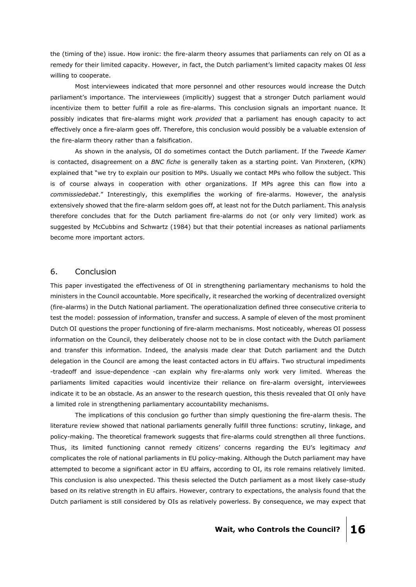the (timing of the) issue. How ironic: the fire-alarm theory assumes that parliaments can rely on OI as a remedy for their limited capacity. However, in fact, the Dutch parliament's limited capacity makes OI *less* willing to cooperate.

Most interviewees indicated that more personnel and other resources would increase the Dutch parliament's importance. The interviewees (implicitly) suggest that a stronger Dutch parliament would incentivize them to better fulfill a role as fire-alarms. This conclusion signals an important nuance. It possibly indicates that fire-alarms might work *provided* that a parliament has enough capacity to act effectively once a fire-alarm goes off. Therefore, this conclusion would possibly be a valuable extension of the fire-alarm theory rather than a falsification.

As shown in the analysis, OI do sometimes contact the Dutch parliament. If the *Tweede Kamer*  is contacted, disagreement on a *BNC fiche* is generally taken as a starting point. Van Pinxteren, (KPN) explained that "we try to explain our position to MPs. Usually we contact MPs who follow the subject. This is of course always in cooperation with other organizations. If MPs agree this can flow into a *commissiedebat*." Interestingly, this exemplifies the working of fire-alarms. However, the analysis extensively showed that the fire-alarm seldom goes off, at least not for the Dutch parliament. This analysis therefore concludes that for the Dutch parliament fire-alarms do not (or only very limited) work as suggested by McCubbins and Schwartz (1984) but that their potential increases as national parliaments become more important actors.

# 6. Conclusion

This paper investigated the effectiveness of OI in strengthening parliamentary mechanisms to hold the ministers in the Council accountable. More specifically, it researched the working of decentralized oversight (fire-alarms) in the Dutch National parliament. The operationalization defined three consecutive criteria to test the model: possession of information, transfer and success. A sample of eleven of the most prominent Dutch OI questions the proper functioning of fire-alarm mechanisms. Most noticeably, whereas OI possess information on the Council, they deliberately choose not to be in close contact with the Dutch parliament and transfer this information. Indeed, the analysis made clear that Dutch parliament and the Dutch delegation in the Council are among the least contacted actors in EU affairs. Two structural impediments -tradeoff and issue-dependence -can explain why fire-alarms only work very limited. Whereas the parliaments limited capacities would incentivize their reliance on fire-alarm oversight, interviewees indicate it to be an obstacle. As an answer to the research question, this thesis revealed that OI only have a limited role in strengthening parliamentary accountability mechanisms.

The implications of this conclusion go further than simply questioning the fire-alarm thesis. The literature review showed that national parliaments generally fulfill three functions: scrutiny, linkage, and policy-making. The theoretical framework suggests that fire-alarms could strengthen all three functions. Thus, its limited functioning cannot remedy citizens' concerns regarding the EU's legitimacy *and* complicates the role of national parliaments in EU policy-making. Although the Dutch parliament may have attempted to become a significant actor in EU affairs, according to OI, its role remains relatively limited. This conclusion is also unexpected. This thesis selected the Dutch parliament as a most likely case-study based on its relative strength in EU affairs. However, contrary to expectations, the analysis found that the Dutch parliament is still considered by OIs as relatively powerless. By consequence, we may expect that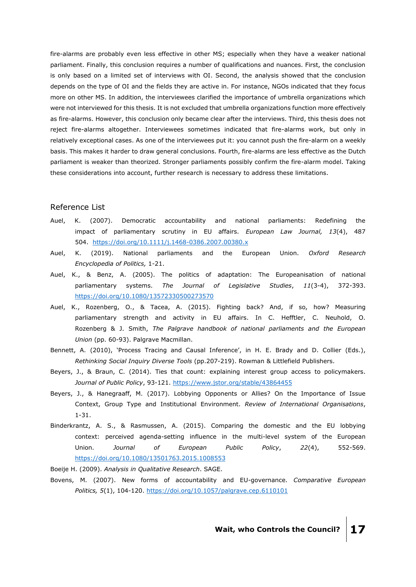fire-alarms are probably even less effective in other MS; especially when they have a weaker national parliament. Finally, this conclusion requires a number of qualifications and nuances. First, the conclusion is only based on a limited set of interviews with OI. Second, the analysis showed that the conclusion depends on the type of OI and the fields they are active in. For instance, NGOs indicated that they focus more on other MS. In addition, the interviewees clarified the importance of umbrella organizations which were not interviewed for this thesis. It is not excluded that umbrella organizations function more effectively as fire-alarms. However, this conclusion only became clear after the interviews. Third, this thesis does not reject fire-alarms altogether. Interviewees sometimes indicated that fire-alarms work, but only in relatively exceptional cases. As one of the interviewees put it: you cannot push the fire-alarm on a weekly basis. This makes it harder to draw general conclusions. Fourth, fire-alarms are less effective as the Dutch parliament is weaker than theorized. Stronger parliaments possibly confirm the fire-alarm model. Taking these considerations into account, further research is necessary to address these limitations.

### Reference List

- Auel, K. (2007). Democratic accountability and national parliaments: Redefining the impact of parliamentary scrutiny in EU affairs. *European Law Journal, 13*(4), 487 504. <https://doi.org/10.1111/j.1468-0386.2007.00380.x>
- Auel, K. (2019). National parliaments and the European Union. *Oxford Research Encyclopedia of Politics,* 1-21.
- Auel, K., & Benz, A. (2005). The politics of adaptation: The Europeanisation of national parliamentary systems. *The Journal of Legislative Studies*, *11*(3-4), 372-393. <https://doi.org/10.1080/13572330500273570>
- Auel, K., Rozenberg, O., & Tacea, A. (2015). Fighting back? And, if so, how? Measuring parliamentary strength and activity in EU affairs. In C. Hefftler, C. Neuhold, O. Rozenberg & J. Smith, *The Palgrave handbook of national parliaments and the European Union* (pp. 60-93). Palgrave Macmillan.
- Bennett, A. (2010), 'Process Tracing and Causal Inference', in H. E. Brady and D. Collier (Eds.), *Rethinking Social Inquiry Diverse Tools* (pp.207-219). Rowman & Littlefield Publishers.
- Beyers, J., & Braun, C. (2014). Ties that count: explaining interest group access to policymakers. *Journal of Public Policy*, 93-121.<https://www.jstor.org/stable/43864455>
- Beyers, J., & Hanegraaff, M. (2017). Lobbying Opponents or Allies? On the Importance of Issue Context, Group Type and Institutional Environment. *Review of International Organisations*, 1-31.
- Binderkrantz, A. S., & Rasmussen, A. (2015). Comparing the domestic and the EU lobbying context: perceived agenda-setting influence in the multi-level system of the European Union. *Journal of European Public Policy*, *22*(4), 552-569. <https://doi.org/10.1080/13501763.2015.1008553>

Boeije H. (2009). *Analysis in Qualitative Research*. SAGE.

Bovens, M. (2007). New forms of accountability and EU-governance. *Comparative European Politics, 5*(1), 104-120.<https://doi.org/10.1057/palgrave.cep.6110101>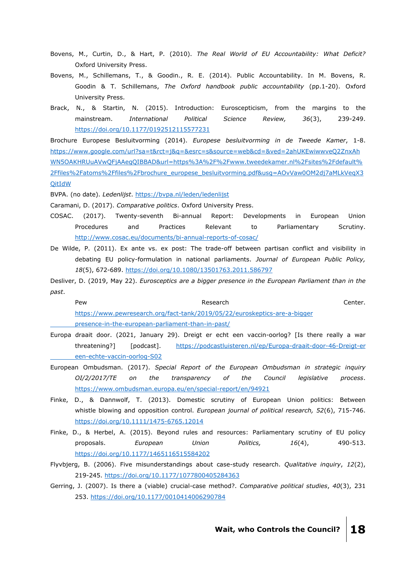- Bovens, M., Curtin, D., & Hart, P. (2010). *The Real World of EU Accountability: What Deficit?* Oxford University Press.
- Bovens, M., Schillemans, T., & Goodin., R. E. (2014). Public Accountability. In M. Bovens, R. Goodin & T. Schillemans, *The Oxford handbook public accountability* (pp.1-20). Oxford University Press.
- Brack, N., & Startin, N. (2015). Introduction: Euroscepticism, from the margins to the mainstream. *International Political Science Review, 36*(3), 239-249. <https://doi.org/10.1177/0192512115577231>

Brochure Europese Besluitvorming (2014). *Europese besluitvorming in de Tweede Kamer*, 1-8. [https://www.google.com/url?sa=t&rct=j&q=&esrc=s&source=web&cd=&ved=2ahUKEwiwwveQ2ZnxAh](https://www.google.com/url?sa=t&rct=j&q=&esrc=s&source=web&cd=&ved=2ahUKEwiwwveQ2ZnxAhWN5OAKHRUuAVwQFjAAegQIBBAD&url=https%3A%2F%2Fwww.tweedekamer.nl%2Fsites%2Fdefault%2Ffiles%2Fatoms%2Ffiles%2Fbrochure_europese_besluitvorming.pdf&usg=AOvVaw0OM2dj7aMLkVeqX3QitIdW) [WN5OAKHRUuAVwQFjAAegQIBBAD&url=https%3A%2F%2Fwww.tweedekamer.nl%2Fsites%2Fdefault%](https://www.google.com/url?sa=t&rct=j&q=&esrc=s&source=web&cd=&ved=2ahUKEwiwwveQ2ZnxAhWN5OAKHRUuAVwQFjAAegQIBBAD&url=https%3A%2F%2Fwww.tweedekamer.nl%2Fsites%2Fdefault%2Ffiles%2Fatoms%2Ffiles%2Fbrochure_europese_besluitvorming.pdf&usg=AOvVaw0OM2dj7aMLkVeqX3QitIdW) [2Ffiles%2Fatoms%2Ffiles%2Fbrochure\\_europese\\_besluitvorming.pdf&usg=AOvVaw0OM2dj7aMLkVeqX3](https://www.google.com/url?sa=t&rct=j&q=&esrc=s&source=web&cd=&ved=2ahUKEwiwwveQ2ZnxAhWN5OAKHRUuAVwQFjAAegQIBBAD&url=https%3A%2F%2Fwww.tweedekamer.nl%2Fsites%2Fdefault%2Ffiles%2Fatoms%2Ffiles%2Fbrochure_europese_besluitvorming.pdf&usg=AOvVaw0OM2dj7aMLkVeqX3QitIdW) **[QitIdW](https://www.google.com/url?sa=t&rct=j&q=&esrc=s&source=web&cd=&ved=2ahUKEwiwwveQ2ZnxAhWN5OAKHRUuAVwQFjAAegQIBBAD&url=https%3A%2F%2Fwww.tweedekamer.nl%2Fsites%2Fdefault%2Ffiles%2Fatoms%2Ffiles%2Fbrochure_europese_besluitvorming.pdf&usg=AOvVaw0OM2dj7aMLkVeqX3QitIdW)** 

BVPA. (no date). *Ledenlijst*.<https://bvpa.nl/leden/ledenlijst>

Caramani, D. (2017). *Comparative politics*. Oxford University Press.

- COSAC. (2017). Twenty-seventh Bi-annual Report: Developments in European Union Procedures and Practices Relevant to Parliamentary Scrutiny. <http://www.cosac.eu/documents/bi-annual-reports-of-cosac/>
- De Wilde, P. (2011). Ex ante vs. ex post: The trade-off between partisan conflict and visibility in debating EU policy-formulation in national parliaments. *Journal of European Public Policy, 18*(5), 672-689.<https://doi.org/10.1080/13501763.2011.586797>

Desliver, D. (2019, May 22). *Eurosceptics are a bigger presence in the European Parliament than in the past*.

| Pew                                                                        | Research | Center. |
|----------------------------------------------------------------------------|----------|---------|
| https://www.pewresearch.org/fact-tank/2019/05/22/euroskeptics-are-a-bigger |          |         |
| presence-in-the-european-parliament-than-in-past/                          |          |         |

- Europa draait door. (2021, January 29). Dreigt er echt een vaccin-oorlog? [Is there really a war threatening?] [podcast]. [https://podcastluisteren.nl/ep/Europa-draait-door-46-Dreigt-er](https://podcastluisteren.nl/ep/Europa-draait-door-46-Dreigt-er%20%09een-echte-vaccin-oorlog-S02) [een-echte-vaccin-oorlog-S02](https://podcastluisteren.nl/ep/Europa-draait-door-46-Dreigt-er%20%09een-echte-vaccin-oorlog-S02)
- European Ombudsman. (2017). *Special Report of the European Ombudsman in strategic inquiry OI/2/2017/TE on the transparency of the Council legislative process*. <https://www.ombudsman.europa.eu/en/special-report/en/94921>
- Finke, D., & Dannwolf, T. (2013). Domestic scrutiny of European Union politics: Between whistle blowing and opposition control. *European journal of political research, 52*(6), 715-746. <https://doi.org/10.1111/1475-6765.12014>
- Finke, D., & Herbel, A. (2015). Beyond rules and resources: Parliamentary scrutiny of EU policy proposals. *European Union Politics, 16*(4), 490-513. <https://doi.org/10.1177/1465116515584202>
- Flyvbjerg, B. (2006). Five misunderstandings about case-study research. *Qualitative inquiry*, *12*(2), 219-245. [https://doi.org/10.1177/1077800405284363](https://doi.org/10.1177%2F1077800405284363)
- Gerring, J. (2007). Is there a (viable) crucial-case method?. *Comparative political studies*, *40*(3), 231 253. [https://doi.org/10.1177/0010414006290784](https://doi.org/10.1177%2F0010414006290784)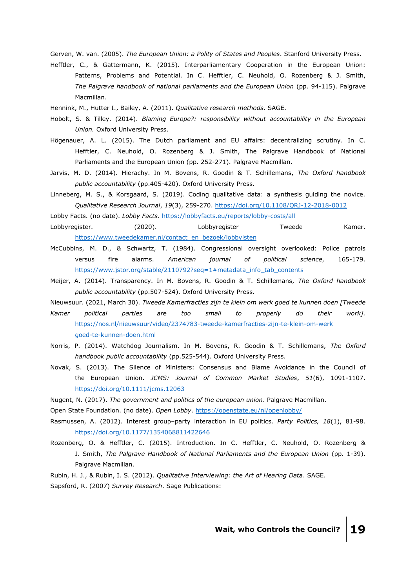Gerven, W. van. (2005). *The European Union: a Polity of States and Peoples*. Stanford University Press.

Hefftler, C., & Gattermann, K. (2015). Interparliamentary Cooperation in the European Union: Patterns, Problems and Potential. In C. Hefftler, C. Neuhold, O. Rozenberg & J. Smith, *The Palgrave handbook of national parliaments and the European Union* (pp. 94-115). Palgrave Macmillan.

Hennink, M., Hutter I., Bailey, A. (2011). *Qualitative research methods*. SAGE.

- Hobolt, S. & Tilley. (2014). *Blaming Europe?: responsibility without accountability in the European Union.* Oxford University Press.
- Högenauer, A. L. (2015). The Dutch parliament and EU affairs: decentralizing scrutiny. In C. Hefftler, C. Neuhold, O. Rozenberg & J. Smith, The Palgrave Handbook of National Parliaments and the European Union (pp. 252-271). Palgrave Macmillan.
- Jarvis, M. D. (2014). Hierachy. In M. Bovens, R. Goodin & T. Schillemans, *The Oxford handbook public accountability* (pp.405-420). Oxford University Press.
- Linneberg, M. S., & Korsgaard, S. (2019). Coding qualitative data: a synthesis guiding the novice. *Qualitative Research Journal*, *19*(3), 259-270.<https://doi.org/10.1108/QRJ-12-2018-0012>

Lobby Facts. (no date). *Lobby Facts*.<https://lobbyfacts.eu/reports/lobby-costs/all>

Lobbyregister. (2020). Lobbyregister Tweede Kamer. [https://www.tweedekamer.nl/contact\\_en\\_bezoek/lobbyisten](https://www.tweedekamer.nl/contact_en_bezoek/lobbyisten)

- McCubbins, M. D., & Schwartz, T. (1984). Congressional oversight overlooked: Police patrols versus fire alarms. *American journal of political science*, 165-179. [https://www.jstor.org/stable/2110792?seq=1#metadata\\_info\\_tab\\_contents](https://www.jstor.org/stable/2110792?seq=1#metadata_info_tab_contents)
- Meijer, A. (2014). Transparency. In M. Bovens, R. Goodin & T. Schillemans, *The Oxford handbook public accountability* (pp.507-524). Oxford University Press.

Nieuwsuur. (2021, March 30). *Tweede Kamerfracties zijn te klein om werk goed te kunnen doen [Tweede*

- *Kamer political parties are too small to properly do their work].* [https://nos.nl/nieuwsuur/video/2374783-tweede-kamerfracties-zijn-te-klein-om-werk](https://nos.nl/nieuwsuur/video/2374783-tweede-kamerfracties-zijn-te-klein-om-werk%20%09goed-te-kunnen-doen.html) [goed-te-kunnen-doen.html](https://nos.nl/nieuwsuur/video/2374783-tweede-kamerfracties-zijn-te-klein-om-werk%20%09goed-te-kunnen-doen.html)
- Norris, P. (2014). Watchdog Journalism. In M. Bovens, R. Goodin & T. Schillemans, *The Oxford handbook public accountability* (pp.525-544). Oxford University Press.
- Novak, S. (2013). The Silence of Ministers: Consensus and Blame Avoidance in the Council of the European Union. *JCMS: Journal of Common Market Studies*, *51*(6), 1091-1107. <https://doi.org/10.1111/jcms.12063>
- Nugent, N. (2017). *The government and politics of the european union*. Palgrave Macmillan.

Open State Foundation. (no date). *Open Lobby*.<https://openstate.eu/nl/openlobby/>

- Rasmussen, A. (2012). Interest group–party interaction in EU politics. *Party Politics, 18*(1), 81-98. <https://doi.org/10.1177/1354068811422646>
- Rozenberg, O. & Hefftler, C. (2015). Introduction. In C. Hefftler, C. Neuhold, O. Rozenberg & J. Smith, *The Palgrave Handbook of National Parliaments and the European Union* (pp. 1-39). Palgrave Macmillan.
- Rubin, H. J., & Rubin, I. S. (2012). *Qualitative Interviewing: the Art of Hearing Data*. SAGE. Sapsford, R. (2007) *Survey Research*. Sage Publications: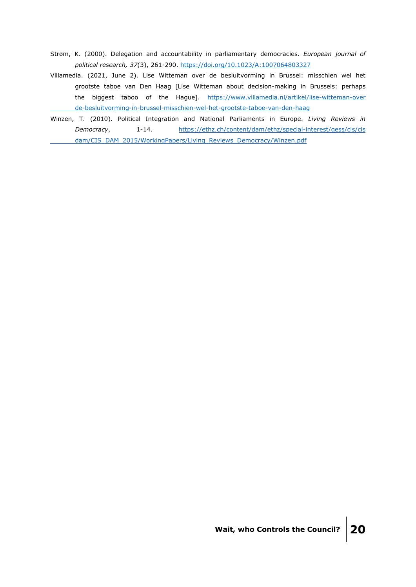- Strøm, K. (2000). Delegation and accountability in parliamentary democracies. *European journal of political research, 37*(3), 261-290.<https://doi.org/10.1023/A:1007064803327>
- Villamedia. (2021, June 2). Lise Witteman over de besluitvorming in Brussel: misschien wel het grootste taboe van Den Haag [Lise Witteman about decision-making in Brussels: perhaps the biggest taboo of the Hague]. [https://www.villamedia.nl/artikel/lise-witteman-over](https://www.villamedia.nl/artikel/lise-witteman-over%20%09de-besluitvorming-in-brussel-misschien-wel-het-grootste-taboe-van-den-haag) [de-besluitvorming-in-brussel-misschien-wel-het-grootste-taboe-van-den-haag](https://www.villamedia.nl/artikel/lise-witteman-over%20%09de-besluitvorming-in-brussel-misschien-wel-het-grootste-taboe-van-den-haag)
- Winzen, T. (2010). Political Integration and National Parliaments in Europe. *Living Reviews in Democracy*, 1-14. [https://ethz.ch/content/dam/ethz/special-interest/gess/cis/cis](https://ethz.ch/content/dam/ethz/special-interest/gess/cis/cis%20%09dam/CIS_DAM_2015/WorkingPapers/Living_Reviews_Democracy/Winzen.pdf) [dam/CIS\\_DAM\\_2015/WorkingPapers/Living\\_Reviews\\_Democracy/Winzen.pdf](https://ethz.ch/content/dam/ethz/special-interest/gess/cis/cis%20%09dam/CIS_DAM_2015/WorkingPapers/Living_Reviews_Democracy/Winzen.pdf)